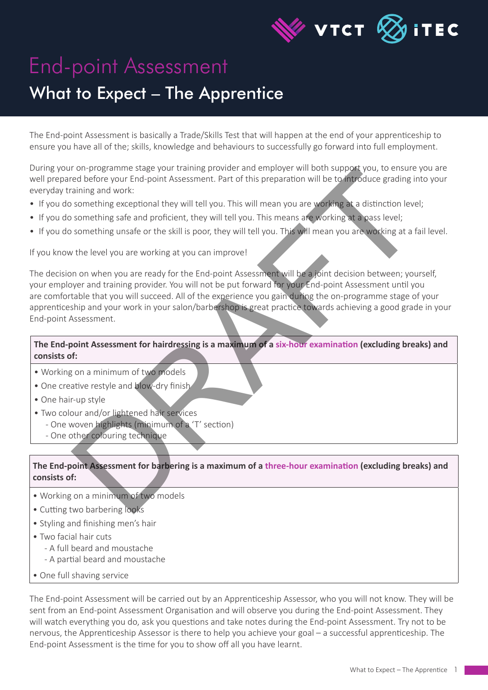

# End-point Assessment

## What to Expect – The Apprentice

The End-point Assessment is basically a Trade/Skills Test that will happen at the end of your apprenticeship to ensure you have all of the; skills, knowledge and behaviours to successfully go forward into full employment.

During your on-programme stage your training provider and employer will both support you, to ensure you are well prepared before your End-point Assessment. Part of this preparation will be to introduce grading into your everyday training and work:

- If you do something exceptional they will tell you. This will mean you are working at a distinction level;
- If you do something safe and proficient, they will tell you. This means are working at a pass level;
- If you do something unsafe or the skill is poor, they will tell you. This will mean you are working at a fail level.

If you know the level you are working at you can improve!

The decision on when you are ready for the End-point Assessment will be a joint decision between; yourself, your employer and training provider. You will not be put forward for your End-point Assessment until you are comfortable that you will succeed. All of the experience you gain during the on-programme stage of your apprenticeship and your work in your salon/barbershop is great practice towards achieving a good grade in your End-point Assessment. To reprogramme saage your training provider and employer with docume and the conduction and the conduction of the search of the search of the search of the search of the search of the search of the search of the search of

### **The End-point Assessment for hairdressing is a maximum of a six-hour examination (excluding breaks) and consists of:**

- Working on a minimum of two models
- One creative restyle and blow-dry finish
- One hair-up style
- Two colour and/or lightened hair services
	- One woven highlights (minimum of a 'T' section)
	- One other colouring technique

#### **The End-point Assessment for barbering is a maximum of a three-hour examination (excluding breaks) and consists of:**

- Working on a minimum of two models
- Cutting two barbering looks
- Styling and finishing men's hair
- Two facial hair cuts
	- A full beard and moustache
	- A partial beard and moustache
- One full shaving service

The End-point Assessment will be carried out by an Apprenticeship Assessor, who you will not know. They will be sent from an End-point Assessment Organisation and will observe you during the End-point Assessment. They will watch everything you do, ask you questions and take notes during the End-point Assessment. Try not to be nervous, the Apprenticeship Assessor is there to help you achieve your goal – a successful apprenticeship. The End-point Assessment is the time for you to show off all you have learnt.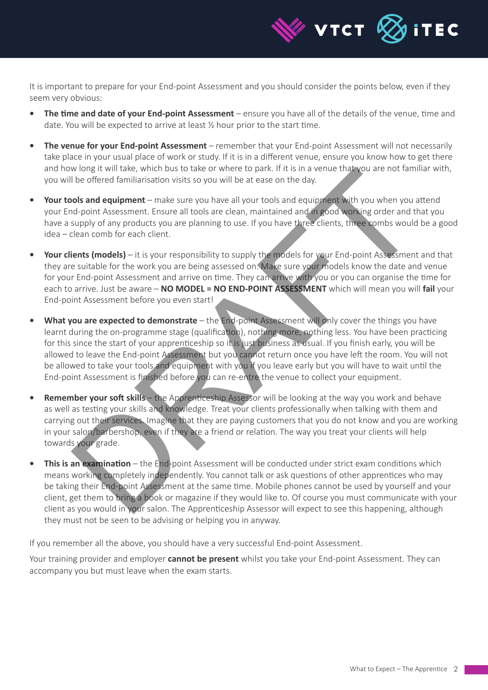

It is important to prepare for your End-point Assessment and you should consider the points below, even if they seem very obvious:

- **The time and date of your End-point Assessment** ensure you have all of the details of the venue, time and date. You will be expected to arrive at least ½ hour prior to the start time.
- **• The venue for your End-point Assessment** remember that your End-point Assessment will not necessarily take place in your usual place of work or study. If it is in a different venue, ensure you know how to get there and how long it will take, which bus to take or where to park. If it is in a venue that you are not familiar with, you will be offered familiarisation visits so you will be at ease on the day.
- **• Your tools and equipment** make sure you have all your tools and equipment with you when you attend your End-point Assessment. Ensure all tools are clean, maintained and in good working order and that you have a supply of any products you are planning to use. If you have three clients, three combs would be a good idea – clean comb for each client.
- **• Your clients (models)** it is your responsibility to supply the models for your End-point Assessment and that they are suitable for the work you are being assessed on. Make sure your models know the date and venue for your End-point Assessment and arrive on time. They can arrive with you or you can organise the time for each to arrive. Just be aware – **NO MODEL = NO END-POINT ASSESSMENT** which will mean you will **fail** your End-point Assessment before you even start!
- **• What you are expected to demonstrate** the End-point Assessment will only cover the things you have learnt during the on-programme stage (qualification), nothing more, nothing less. You have been practicing for this since the start of your apprenticeship so it is just business as usual. If you finish early, you will be allowed to leave the End-point Assessment but you cannot return once you have left the room. You will not be allowed to take your tools and equipment with you if you leave early but you will have to wait until the End-point Assessment is finished before you can re-entre the venue to collect your equipment. Word it was which bus to take or where to part. If its in a venue that way is the different of the different with you when you are not taminarisation visits so you will be at ease on the day.<br>
One said equipment — make sur
- **Remember your soft skills** the Apprenticeship Assessor will be looking at the way you work and behave as well as testing your skills and knowledge. Treat your clients professionally when talking with them and carrying out their services. Imagine that they are paying customers that you do not know and you are working in your salon/barbershop, even if they are a friend or relation. The way you treat your clients will help towards your grade.
- **This is an examination** the End-point Assessment will be conducted under strict exam conditions which means working completely independently. You cannot talk or ask questions of other apprentices who may be taking their End-point Assessment at the same time. Mobile phones cannot be used by yourself and your client, get them to bring a book or magazine if they would like to. Of course you must communicate with your client as you would in your salon. The Apprenticeship Assessor will expect to see this happening, although they must not be seen to be advising or helping you in anyway.

If you remember all the above, you should have a very successful End-point Assessment.

Your training provider and employer **cannot be present** whilst you take your End-point Assessment. They can accompany you but must leave when the exam starts.